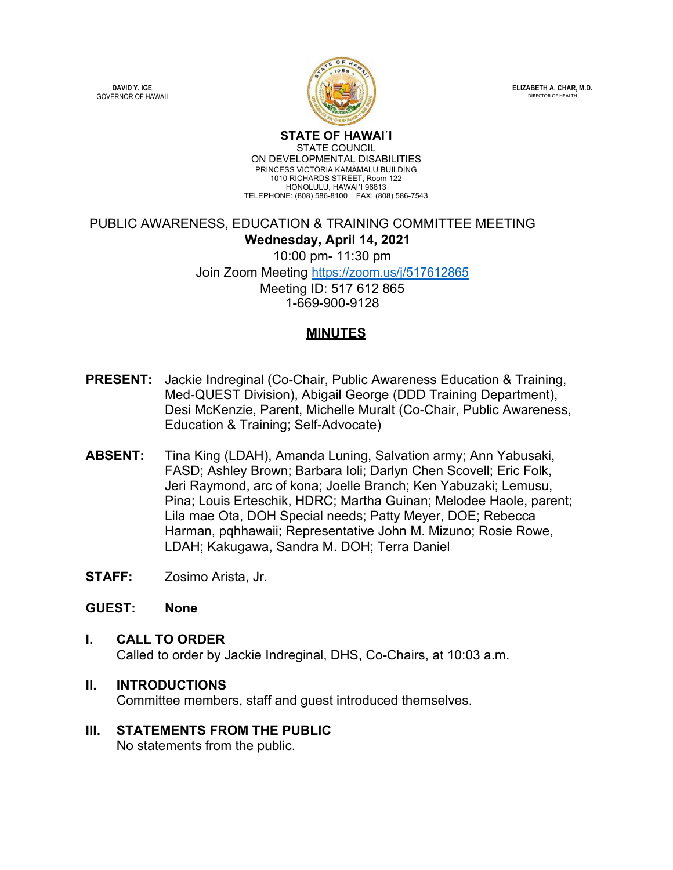**DAVID Y. IGE** GOVERNOR OF HAWAII



**ELIZABETH A. CHAR, M.D. DIRECTOR OF HEALTH** 

**STATE OF HAWAI῾I** STATE COUNCIL ON DEVELOPMENTAL DISABILITIES PRINCESS VICTORIA KAMĀMALU BUILDING 1010 RICHARDS STREET, Room 122 HONOLULU, HAWAI'I 96813 TELEPHONE: (808) 586-8100 FAX: (808) 586-7543

PUBLIC AWARENESS, EDUCATION & TRAINING COMMITTEE MEETING **Wednesday, April 14, 2021** 10:00 pm- 11:30 pm Join Zoom Meeting<https://zoom.us/j/517612865> Meeting ID: 517 612 865 1-669-900-9128

### **MINUTES**

- **PRESENT:** Jackie Indreginal (Co-Chair, Public Awareness Education & Training, Med-QUEST Division), Abigail George (DDD Training Department), Desi McKenzie, Parent, Michelle Muralt (Co-Chair, Public Awareness, Education & Training; Self-Advocate)
- **ABSENT:** Tina King (LDAH), Amanda Luning, Salvation army; Ann Yabusaki, FASD; Ashley Brown; Barbara Ioli; Darlyn Chen Scovell; Eric Folk, Jeri Raymond, arc of kona; Joelle Branch; Ken Yabuzaki; Lemusu, Pina; Louis Erteschik, HDRC; Martha Guinan; Melodee Haole, parent; Lila mae Ota, DOH Special needs; Patty Meyer, DOE; Rebecca Harman, pqhhawaii; Representative John M. Mizuno; Rosie Rowe, LDAH; Kakugawa, Sandra M. DOH; Terra Daniel
- **STAFF:** Zosimo Arista, Jr.

#### **GUEST: None**

# **I. CALL TO ORDER** Called to order by Jackie Indreginal, DHS, Co-Chairs, at 10:03 a.m.

- **II. INTRODUCTIONS** Committee members, staff and guest introduced themselves.
- **III. STATEMENTS FROM THE PUBLIC**  No statements from the public.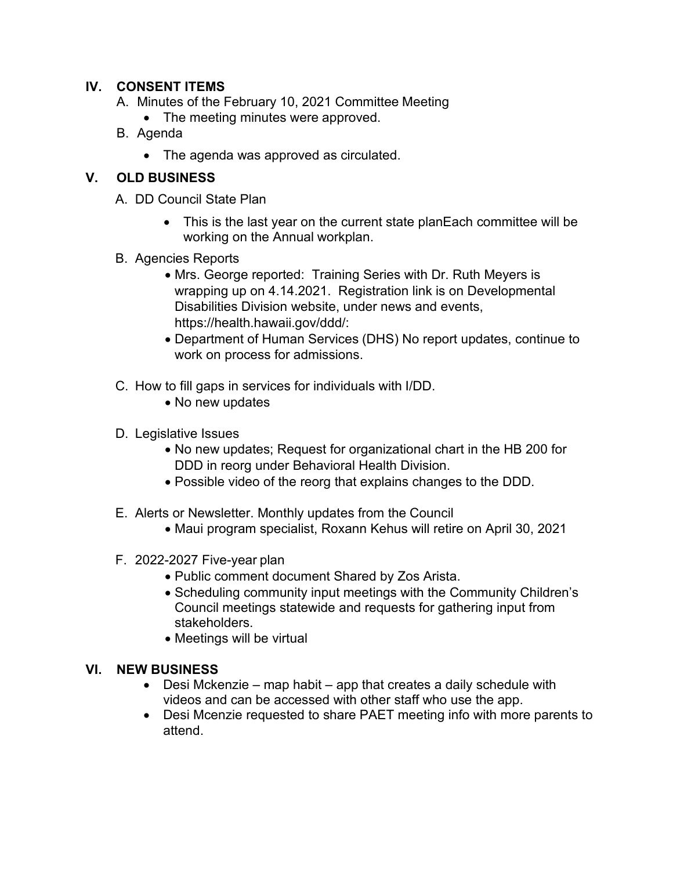## **IV. CONSENT ITEMS**

- A. Minutes of the February 10, 2021 Committee Meeting
	- The meeting minutes were approved.
- B. Agenda
	- The agenda was approved as circulated.

# **V. OLD BUSINESS**

- A. DD Council State Plan
	- This is the last year on the current state planEach committee will be working on the Annual workplan.
- B. Agencies Reports
	- Mrs. George reported: Training Series with Dr. Ruth Meyers is wrapping up on 4.14.2021. Registration link is on Developmental Disabilities Division website, under news and events, https://health.hawaii.gov/ddd/:
	- Department of Human Services (DHS) No report updates, continue to work on process for admissions.
- C. How to fill gaps in services for individuals with I/DD.
	- No new updates
- D. Legislative Issues
	- No new updates; Request for organizational chart in the HB 200 for DDD in reorg under Behavioral Health Division.
	- Possible video of the reorg that explains changes to the DDD.
- E. Alerts or Newsletter. Monthly updates from the Council
	- Maui program specialist, Roxann Kehus will retire on April 30, 2021
- F. 2022-2027 Five-year plan
	- Public comment document Shared by Zos Arista.
	- Scheduling community input meetings with the Community Children's Council meetings statewide and requests for gathering input from stakeholders.
	- Meetings will be virtual

## **VI. NEW BUSINESS**

- Desi Mckenzie map habit app that creates a daily schedule with videos and can be accessed with other staff who use the app.
- Desi Mcenzie requested to share PAET meeting info with more parents to attend.